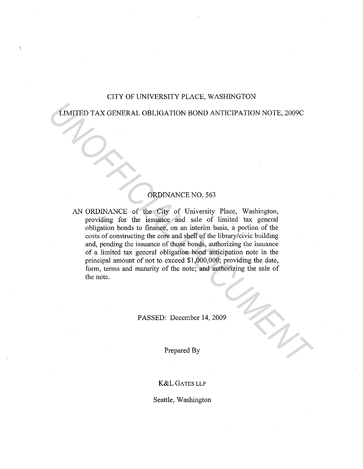### CITY OF UNIVERSITY PLACE, WASHINGTON

LIMITED TAX GENERAL OBLIGATION BOND ANTICIPATION NOTE, 2009C

## ORDINANCE NO. 563

AN ORDINANCE of the City of University Place, Washington, providing for the issuance and sale of limited tax general obligation bonds to finance, on an interim basis, a portion of the costs of constructing the core and shell of the library/civic building and, pending the issuance of those bonds, authorizing the issuance of a limited tax general obligation bond anticipation note in the principal amount of not to exceed \$1,000,000; providing the date, form, terms and maturity of the note; and authorizing the sale of the note. **TIMITED TAX GENERAL OBLIGATION BOND ANTICIPATION NOTE, 2009C**<br> **ORDINANCE of the City of University Place, Washington**<br>
providing for the issuance and sale of limited tax general<br>
obligation bonds to finance, on an interi

PASSED: December 14, 2009

Prepared By

### K&L GATES LLP

Seattle, Washington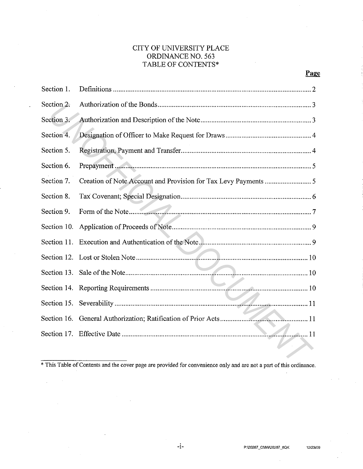## CITY OF UNIVERSITY PLACE ORDINANCE NO. 563 TABLE OF CONTENTS\*

| Section 1.  |                                                                                                                    |
|-------------|--------------------------------------------------------------------------------------------------------------------|
| Section 2.  |                                                                                                                    |
| Section 3.  |                                                                                                                    |
| Section 4.  |                                                                                                                    |
| Section 5.  |                                                                                                                    |
| Section 6.  |                                                                                                                    |
| Section 7.  |                                                                                                                    |
| Section 8.  |                                                                                                                    |
| Section 9.  |                                                                                                                    |
| Section 10. |                                                                                                                    |
|             |                                                                                                                    |
|             |                                                                                                                    |
|             |                                                                                                                    |
|             |                                                                                                                    |
|             |                                                                                                                    |
|             |                                                                                                                    |
|             |                                                                                                                    |
|             | * This Table of Contents and the cover page are provided for convenience only and are not a part of this ordinance |

\* This Table of Contents and the cover page are provided for convenience only and are not a part of this ordinance.

 $\sim 10$ 

Page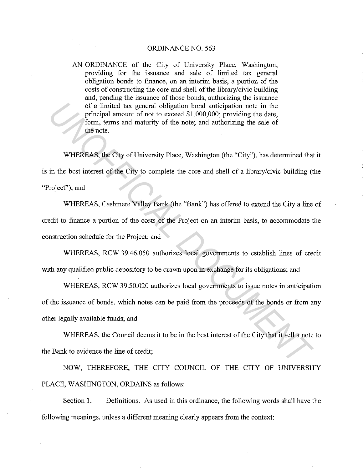#### ORDINANCE NO. 563

AN ORDINANCE of the City of University Place, Washington, providing for the issuance and sale of limited tax general obligation bonds to finance, on an interim basis, a portion of the costs of constructing the core and shell of the library/civic building and, pending the issuance of those bonds, authorizing the issuance of a limited tax general obligation bond anticipation note in the principal amount of not to exceed \$1,000,000; providing the date, form, terms and maturity of the note; and authorizing the sale of the note.

WHEREAS, the City of University Place, Washington (the "City"), has determined that it is in the best interest of the City to complete the core and shell of a library/civic building (the "Project"); and

WHEREAS, Cashmere Valley Bank (the "Bank") has offered to extend the City a line of credit to finance a portion of the costs of the Project on an interim basis, to accommodate the construction schedule for the Project; and of a limited nex general obligation bond anticipation note in the<br>
principal amount of not to exceed 81,000,000; providing the date,<br> *UNIFICEAS*, the City of University Place, Washington (the "City"), has determined that<br>

WHEREAS, RCW 39.46.050 authorizes local governments to establish lines of credit with any qualified public depository to be drawn upon in exchange for its obligations; and

WHEREAS, RCW 39.50.020 authorizes local governments to issue notes in anticipation of the issuance of bonds, which notes can be paid from the proceeds of the bonds or from any other legally available funds; and

WHEREAS, the Council deems it to be in the best interest of the City that it sell a note to the Bank to evidence the line of credit;

NOW, THEREFORE, THE CITY COUNCIL OF THE CITY OF UNIVERSITY PLACE, WASHINGTON, ORDAINS as follows:

Section 1. Definitions. As used in this ordinance, the following words shall have the following meanings, unless a different meaning clearly appears from the context: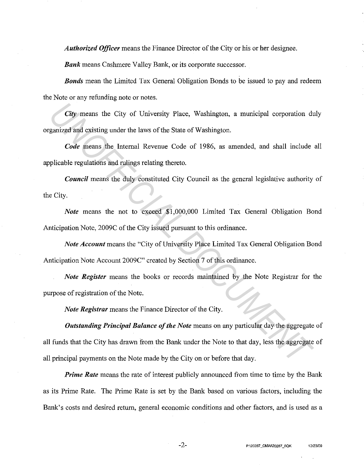*Authorized Officer* means the Finance Director of the City or his or her designee.

*Bank* means Cashmere Valley Bank, or its corporate successor.

*Bonds* mean the Limited Tax General Obligation Bonds to be issued to pay and redeem the Note or any refunding note or notes.

*City* means the City of University Place, Washington, a municipal corporation duly organized and existing under the laws of the State of Washington.

*Code* means the Internal Revenue Code of 1986, as amended, and shall include all applicable regulations and rulings relating thereto.

*Council* means the duly constituted City Council as the general legislative authority of the City.

*Note* means the not to exceed \$1,000,000 Limited Tax General Obligation Bond Anticipation Note, 2009C of the City issued pursuant to this ordinance.

*Note Account* means the "City of University Place Limited Tax General Obligation Bond Anticipation Note Account 2009C" created by Section 7 of this ordinance.

*Note Register* means the books or records maintained by the Note Registrar for the purpose of registration of the Note.

*Note Registrar* means the Finance Director of the City.

*Outstanding Principal Balance of the Note* means on any particular day the aggregate of all funds that the City has drawn from the Bank under the Note to that day, less the aggregate of all principal payments on the Note made by the City on or before that day. *City* means the City of University Place, Washington, a municipal corporation diganized and existing under the laws of the State of Washington.<br> *Code* means the Internal Revenue Code of 1986, as amended, and shall includ

*Prime Rate* means the rate of interest publicly announced from time to time by the Bank as its Prime Rate. The Prime Rate is set by the Bank based on various factors, including the Bank's costs and desired return, general economic conditions and other factors, and is used as a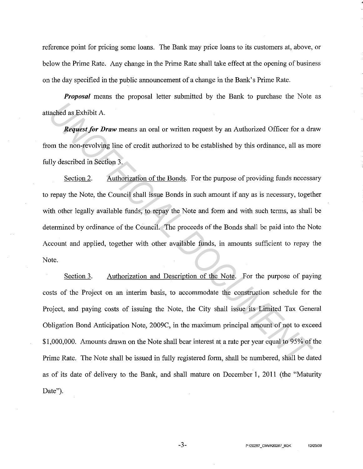reference point for pricing some loans. The Bank may price loans to its customers at, above, or below the Prime Rate. Any change in the Prime Rate shall take effect at the opening of business on the day specified in the public announcement of a change in the Bank's Prime Rate.

*Proposal* means the proposal letter submitted by the Bank to purchase the Note as attached as Exhibit A.

*Request for Draw* means an oral or written request by an Authorized Officer for a draw from the non-revolving line of credit authorized to be established by this ordinance, all as more fully described in Section 3.

Section 2. Authorization of the Bonds. For the purpose of providing funds necessary to repay the Note, the Council shall issue Bonds in such amount if any as is necessary, together with other legally available funds, to repay the Note and form and with such terms, as shall be determined by ordinance of the Council. The proceeds of the Bonds shall be paid into the Note Account and applied, together with other available funds, in amounts sufficient to repay the Note.

Section 3. Authorization and Description of the Note. For the purpose of paying costs of the Project on an interim basis, to accommodate the construction schedule for the Project, and paying costs of issuing the Note, the City shall issue its Limited Tax General Obligation Bond Anticipation Note, 2009C, in the maximum principal amount of not to exceed \$1,000,000. Amounts drawn on the Note shall bear interest at a rate per year equal to 95% of the Prime Rate. The Note shall be issued in fully registered form, shall be numbered, shall be dated as of its date of delivery to the Bank, and shall mature on December 1, 2011 (the "Maturity Date"). **Excluded as Exhibit A.**<br> **Request for Draw** means an oral or written request by an Authorized Officer for a dram the non-revolving line of credit authorized to be established by this ordinance, all as methy described in S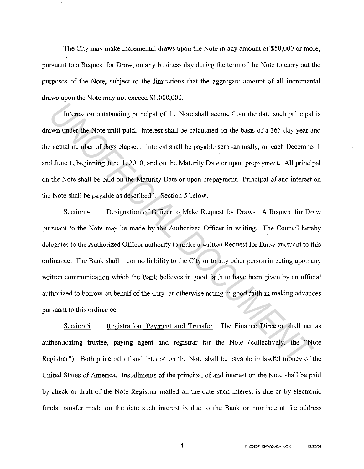The City may make incremental draws upon the Note in any amount of \$50,000 or more, pursuant to a Request for Draw, on any business day during the term of the Note to carry out the purposes of the Note, subject to the limitations that the aggregate amount of all incremental draws upon the Note may not exceed \$1,000,000.

Interest on outstanding principal of the Note shall accrue from the date such principal is drawn under the Note until paid. Interest shall be calculated on the basis of a 365-day year and the actual number of days elapsed. Interest shall be payable semi-annually, on each December 1 and June I, beginning June I, 2010, and on the Maturity Date or upon prepayment. All principal on the Note shall be paid on the Maturity Date or upon prepayment. Principal of and interest on the Note shall be payable as described in Section 5 below.

Section 4. Designation of Officer to Make Request for Draws. A Request for Draw pursuant to the Note may be made by the Authorized Officer in writing. The Council hereby delegates to the Authorized Officer authority to make a written Request for Draw pursuant to this ordinance. The Bank shall incur no liability to the City or to any other person in acting upon any written communication which the Bank believes in good faith to have been given by an official authorized to borrow on behalf of the City, or otherwise acting in good faith in making advances pursuant to this ordinance. Interest on outstanding principal of the Note shall accrue from the date such principal<br>**Example 1.1** Detection Interest shall be calculated on the basis of a 365-day year a<br>actual number of days elapsed. Interest shall be

Section 5. Registration, Payment and Transfer. The Finance Director shall act as authenticating trustee, paying agent and registrar for the Note (collectively, the "Note Registrar"). Both principal of and interest on the Note shall be payable in lawful money of the United States of America. Installments of the principal of and interest on the Note shall be paid by check or draft of the Note Registrar mailed on the date such interest is due or by electronic funds transfer made on the date such interest is due to the Bank or nominee at the address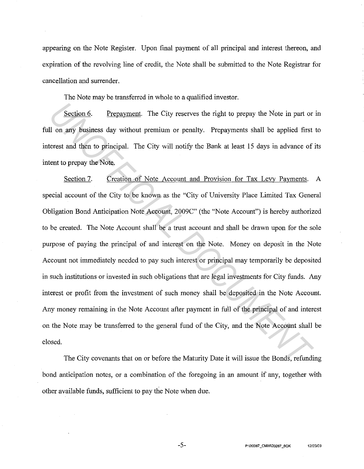appearing on the Note Register. Upon final payment of all principal and interest thereon, and expiration of the revolving line of credit, the Note shall be submitted to the Note Registrar for cancellation and surrender.

The Note may be transferred in whole to a qualified investor.

Section 6. Prepayment. The City reserves the right to prepay the Note in part or in full on any business day without premium or penalty. Prepayments shall be applied first to interest and then to principal. The City will notify the Bank at least 15 days in advance of its intent to prepay the Note.

Section 7. Creation of Note Account and Provision for Tax Levy Payments. A special account of the City to be known as the "City of University Place Limited Tax General Obligation Bond Anticipation Note Account, 2009C" (the "Note Account") is hereby authorized to be created. The Note Account shall be a trust account and shall be drawn upon for the sole purpose of paying the principal of and interest on the Note. Money on deposit in the Note Account not immediately needed to pay such interest or principal may temporarily be deposited in such institutions or invested in such obligations that are legal investments for City funds. Any interest or profit from the investment of such money shall be deposited in the Note Account. Any money remaining in the Note Account after payment in full of the principal of and interest on the Note may be transferred to the general fund of the City, and the Note Account shall be closed. **Example 16 Example 16 Example 16 Example 16 Example 16 Example 16 Example 16 Example 16 Example 16 Example 16 Example 16 Example 16 Example 16 Example 16 Example 16 Example 16 Example 16 Example 16 Example 16 Example 16 E** 

The City covenants that on or before the Maturity Date it will issue the Bonds, refunding bond anticipation notes, or a combination of the foregoing in an amount if any, together with other available funds, sufficient to pay the Note when due.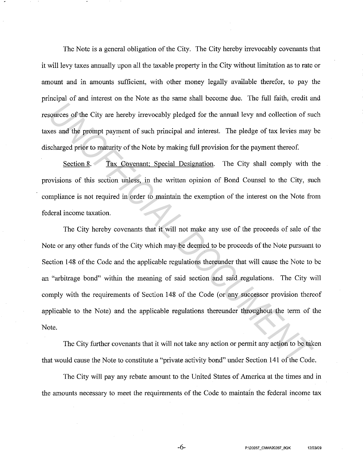The Note is a general obligation of the City. The City hereby irrevocably covenants that it will levy taxes annually upon all the taxable property in the City without limitation as to rate or amount and in amounts sufficient, with other money legally available therefor, to pay the principal of and interest on the Note as the same shall become due. The full faith, credit and resources of the City are hereby irrevocably pledged for the annual levy and collection of such taxes and the prompt payment of such principal and interest. The pledge of tax levies may be discharged prior to maturity of the Note by making full provision for the payment thereof.

Section 8. Tax Covenant; Special Designation. The City shall comply with the provisions of this section unless, in the written opinion of Bond Counsel to the City, such compliance is not required in order to maintain the exemption of the interest on the Note from federal income taxation.

The City hereby covenants that it will not make any use of the proceeds of sale of the Note or any other funds of the City which may be deemed to be proceeds of the Note pursuant to Section 148 of the Code and the applicable regulations thereunder that will cause the Note to be an "arbitrage bond" within the meaning of said section and said regulations. The City will comply with the requirements of Section 148 of the Code (or any successor provision thereof applicable to the Note) and the applicable regulations thereunder throughout the term of the Note. **EXECUTE:** The City are hereby increasedly pledged for the annual levy and collection of succs and the prompt payment of such principal and interest. The pledge of tax levies may scharged prior to maturity of the Note by m

The City further covenants that it will not take any action or permit any action to be taken that would cause the Note to constitute a "private activity bond" under Section 141 of the Code.

The City will pay any rebate amount to the United States of America at the times and in the amounts necessary to meet the requirements of the Code to maintain the federal income tax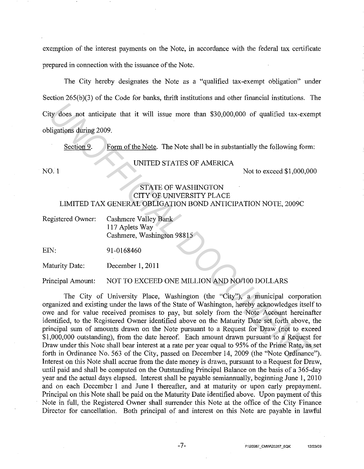exemption of the interest payments on the Note, in accordance with the federal tax certificate prepared in connection with the issuance of the Note.

The City hereby designates the Note as a "qualified tax-exempt obligation" under Section 265(b)(3) of the Code for banks, thrift institutions and other financial institutions. The City does not anticipate that it will issue more than \$30,000,000 of qualified tax-exempt obligations during 2009.

Section 9. Form of the Note. The Note shall be in substantially the following form:

#### UNITED STATES OF AMERICA

NO. 1 Notice the state of the state of the state of the state of the state of the state of the state of the state of the state of the state of the state of the state of the state of the state of the state of the state of t

### STATE OF WASHINGTON CITY OF UNIVERSITY PLACE LIMITED TAX GENERAL OBLIGATION BOND ANTICIPATION NOTE, 2009C

| Registered Owner: | Cashmere Valley Bank       |
|-------------------|----------------------------|
|                   | 117 Aplets Way             |
|                   | Cashmere, Washington 98815 |

EIN: 91-0168460

Maturity Date: December **1,** 2011

Principal Amount: NOT TO EXCEED ONE MILLION AND NO/100 DOLLARS

The City of University Place, Washington (the "City"), a municipal corporation organized and existing under the laws of the State of Washington, hereby acknowledges itself to owe and for value received promises to pay, but solely from the Note Account hereinafter identified, to the Registered Owner identified above on the Maturity Date set forth above, the principal sum of amounts drawn on the Note pursuant to a Request for Draw (not to exceed \$1,000,000 outstanding), from the date hereof. Each amount drawn pursuant to a Request for Draw under this Note shall bear interest at a rate per year equal to 95% of the Prime Rate, as set forth in Ordinance No. 563 of the City, passed on December 14, 2009 (the "Note Ordinance"). Interest on this Note shall accrue from the date money is drawn, pursuant to a Request for Draw, until paid and shall be computed on the Outstanding Principal Balance on the basis of a 365-day year and the actual days elapsed. Interest shall be payable semiannually, beginning June **1,** 2010 and on each December **1** and June **1** thereafter, and at maturity or upon early prepayment. Principal on this Note shall be paid on the Maturity Date identified above. Upon payment of this Note in full, the Registered Owner shall surrender this Note at the office of the City Finance Director for cancellation. Both principal of and interest on this Note are payable in lawful **Example 2013**<br> **Example 2009. INTED STATES OF AMERICA**<br> **UNITED STATES OF AMERICA**<br> **INSTED STATES OF AMERICA**<br> **INTED STATES OF AMERICA**<br> **INTED STATES OF MASILINGTON**<br> **INTED TAX GENERAL OBLIGATION BOND ANTICIPATION N**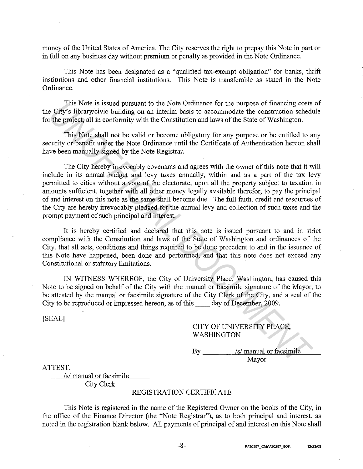money of the United States of America. The City reserves the right to prepay this Note in part or in full on any business day without premium or penalty as provided in the Note Ordinance.

This Note has been designated as a "qualified tax-exempt obligation" for banks, thrift institutions and other financial institutions. This Note is transferable as stated in the Note Ordinance.

This Note is issued pursuant to the Note Ordinance for the purpose of financing costs of the City's library/civic building on an interim basis to accommodate the construction schedule for the project, all in conformity with the Constitution and laws of the State of Washington.

This Note shall not be valid or become obligatory for any purpose or be entitled to any security or benefit under the Note Ordinance until the Certificate of Authentication hereon shall have been manually signed by the Note Registrar.

The City hereby irrevocably covenants and agrees with the owner of this note that it will include in its annual budget and levy taxes annually, within and as a part of the tax levy permitted to cities without a vote of the electorate, upon all the property subject to taxation in amounts sufficient, together with all other money legally available therefor, to pay the principal of and interest on this note as the same shall become due. The full faith, credit and resources of the City are hereby irrevocably pledged for the annual levy and collection of such taxes and the prompt payment of such principal and interest. This Note is issued pusuant to the Note Ordinac for the purpose of financing cost<br>
USFy's library/civic building on an interim basis to accommodate the construction sched<br>
the project, all in onformity with the Constitutio

It is hereby certified and declared that this note is issued pursuant to and in strict compliance with the Constitution and laws of the State of Washington and ordinances of the City, that all acts, conditions and things required to be done precedent to and in the issuance of this Note have happened, been done and performed, and that this note does not exceed any Constitutional or statutory limitations.

IN WITNESS WHEREOF, the City of University Place, Washington, has caused this Note to be signed on behalf of the City with the manual or facsimile signature of the Mayor, to be attested by the manual or facsimile signature of the City Clerk of the City, and a seal of the City to be reproduced or impressed hereon, as of this \_\_ day of December, 2009.

[SEAL]

## CITY OF UNIVERSITY PLACE, WASHINGTON

By \_\_\_\_\_\_\_\_\_\_ /s/ manual or facsimile Mayor

ATTEST:

*Isl* manual or facsimile City Clerk

### REGISTRATION CERTIFICATE

This Note is registered in the name of the Registered Owner on the books of the City, in the office of the Finance Director (the "Note Registrar"), as to both principal and interest, as noted in the registration blank below. All payments of principal of and interest on this Note shall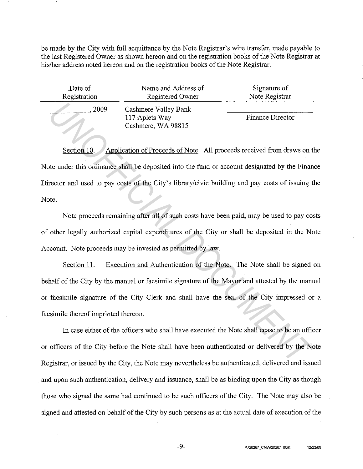be made by the City with full acquittance by the Note Registrar's wire transfer, made payable to the last Registered Owner as shown hereon and on the registration books of the Note Registrar at his/her address noted hereon and on the registration books of the Note Registrar.

| Date of      | Name and Address of                                          | Signature of            |
|--------------|--------------------------------------------------------------|-------------------------|
| Registration | Registered Owner                                             | Note Registrar          |
| 2009         | Cashmere Valley Bank<br>117 Aplets Way<br>Cashmere, WA 98815 | <b>Finance Director</b> |

Section 10. Application of Proceeds of Note. All proceeds received from draws on the Note under this ordinance shall be deposited into the fund or account designated by the Finance Director and used to pay costs of the City's library/civic building and pay costs of issuing the Note.

Note proceeds remaining after all of such costs have been paid, may be used to pay costs of other legally authorized capital expenditures of the City or shall be deposited in the Note Account. Note proceeds may be invested as permitted by law.

Section 11. Execution and Authentication of the Note. The Note shall be signed on behalf of the City by the manual or facsimile signature of the Mayor and attested by the manual or facsimile signature of the City Clerk and shall have the seal of the City impressed or a facsimile thereof imprinted thereon. Cashmere Valley Bank<br>
I17 Aplets Way<br>
Cashmere, WA 98815<br>
Section 10. Application of Proceeds of Note. All proceeds received from draws on the under this ordinance shall be deposited into the fund or account designated by

In case either of the officers who shall have executed the Note shall cease to be an officer or officers of the City before the Note shall have been authenticated or delivered by the Note Registrar, or issued by the City, the Note may nevertheless be authenticated, delivered and issued and upon such authentication, delivery and issuance, shall be as binding upon the City as though those who signed the same had continued to be such officers of the City. The Note may also be signed and attested on behalf of the City by such persons as at the actual date of execution of the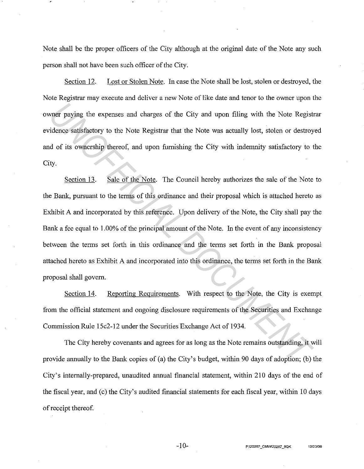Note shall be the proper officers of the City although at the original date of the Note any such person shall not have been such officer of the City.

Section 12. Lost or Stolen Note. In case the Note shall be lost, stolen or destroyed, the Note Registrar may execute and deliver a new Note of like date and tenor to the owner upon the owner paying the expenses and charges of the City and upon filing with the Note Registrar evidence satisfactory to the Note Registrar that the Note was actually lost, stolen or destroyed and of its ownership thereof, and upon furnishing the City with indemnity satisfactory to the City.

Section 13. Sale of the Note. The Council hereby authorizes the sale of the Note to the Bank, pursuant to the terms of this ordinance and their proposal which is attached hereto as Exhibit A and incorporated by this reference. Upon delivery of the Note, the City shall pay the Bank a fee equal to 1.00% of the principal amount of the Note. In the event of any inconsistency between the terms set forth in this ordinance and the terms set forth in the Bank proposal attached hereto as Exhibit A and incorporated into this ordinance, the terms set forth in the Bank proposal shall govern. **Example 18 Expenses and charges of the City and upon filing with the Note Registrate.<br>** *UNOFFICIAL DOCUMENT CONTERT CONTERT WARE UNITED AND CONTERT CONTERT CONTERT UNITED AND CONTERT UP TO SERVIT UP 100 UNITED SERVIT UP 1* 

Section 14. Reporting Requirements. With respect to the Note, the City is exempt from the official statement and ongoing disclosure requirements of the Securities and Exchange Commission Rule 15c2-12 under the Securities Exchange Act of 1934.

The City hereby covenants and agrees for as long as the Note remains outstanding, it will provide armually to the Bank copies of (a) the City's budget, within 90 days of adoption; (b) the City's internally-prepared, unaudited armual financial statement, within 210 days of the end of the fiscal year, and (c) the City's audited financial statements for each fiscal year, within 10 days of receipt thereof.

 $-10-$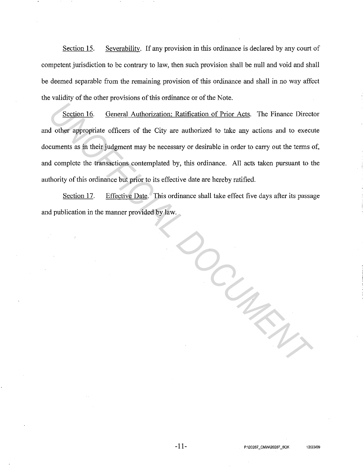Section 15. Severability. If any provision in this ordinance is declared by any court of competent jurisdiction to be contrary to law, then such provision shall be null and void and shall be deemed separable from the remaining provision of this ordinance and shall in no way affect the validity of the other provisions of this ordinance or of the Note.

Section 16. General Authorization; Ratification of Prior Acts. The Finance Director and other appropriate officers of the City are authorized to take any actions and to execute documents as in their judgment may be necessary or desirable in order to carry out the terms of, and complete the transactions contemplated by, this ordinance. All acts taken pursuant to the authority of this ordinance but prior to its effective date are hereby ratified.

Section 17. Effective Date. This ordinance shall take effect five days after its passage and publication in the manner provided by law.

*UNOFFICIAL DOCUMENT*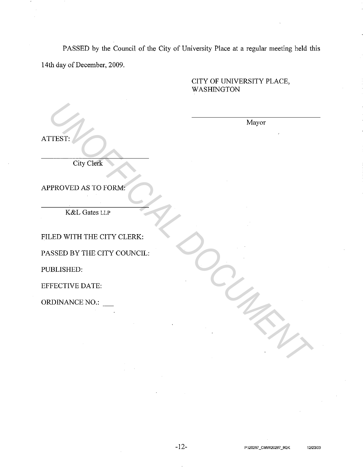PASSED by the Council of the City of University Place at a regular meeting held this 14th day of December, 2009.

## CITY OF UNIVERSITY PLACE, WASHINGTON

Mayor

ATTEST:

City Clerk

APPROVED AS TO FORM:

K&L Gates LLP

FILED WITH THE CITY CLERK:

PASSED BY THE CITY COUNCIL: TEST:<br>
UNAVOT<br>
UNAVOTED AS TO FORM<br>
PROVED AS TO FORM<br>
K&I. GRES LIP<br>
UED WITH THE CITY COUNCIL:<br>
USLISHED:<br>
TECTIVE DATE:<br>
TECTIVE DATE:<br>
XDINANCE NO.: \_

PUBLISHED:

EFFECTIVE DATE:

ORDINANCE NO.: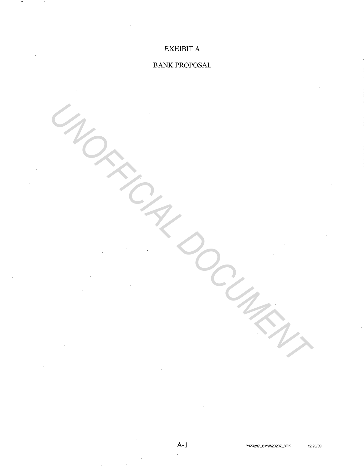# EXHIBIT A

# BANK PROPOSAL

UNOFFICIAL DOCUMENT

A-I **P:\20287 \_CMW\20287 \_SQK 12123/09**